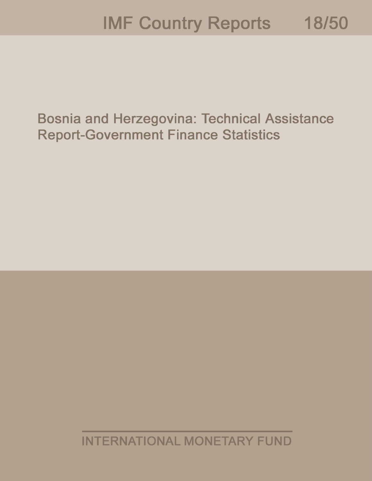# **IMF Country Reports** 18/50

**Bosnia and Herzegovina: Technical Assistance Report-Government Finance Statistics** 

**INTERNATIONAL MONETARY FUND**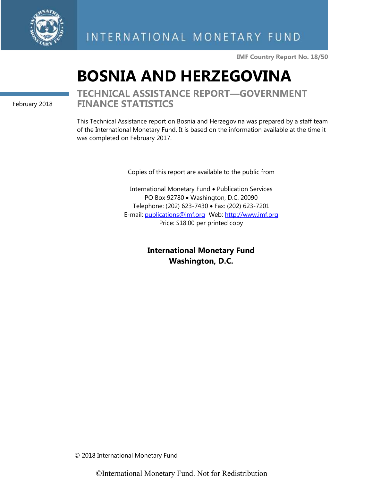

**IMF Country Report No. 18/50**

# **BOSNIA AND HERZEGOVINA**

February 2018

# **TECHNICAL ASSISTANCE REPORT—GOVERNMENT FINANCE STATISTICS**

This Technical Assistance report on Bosnia and Herzegovina was prepared by a staff team of the International Monetary Fund. It is based on the information available at the time it was completed on February 2017.

Copies of this report are available to the public from

International Monetary Fund • Publication Services PO Box 92780 • Washington, D.C. 20090 Telephone: (202) 623-7430 • Fax: (202) 623-7201 E-mail: publications@imf.org Web:<http://www.imf.org> Price: \$18.00 per printed copy

> **International Monetary Fund Washington, D.C.**

© 2018 International Monetary Fund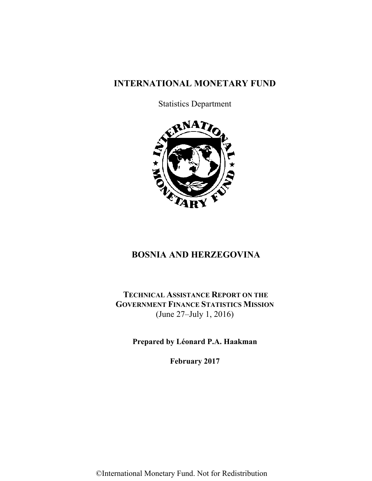# **INTERNATIONAL MONETARY FUND**

Statistics Department



# **BOSNIA AND HERZEGOVINA**

**TECHNICAL ASSISTANCE REPORT ON THE GOVERNMENT FINANCE STATISTICS MISSION**  (June 27–July 1, 2016)

**Prepared by Léonard P.A. Haakman** 

**February 2017**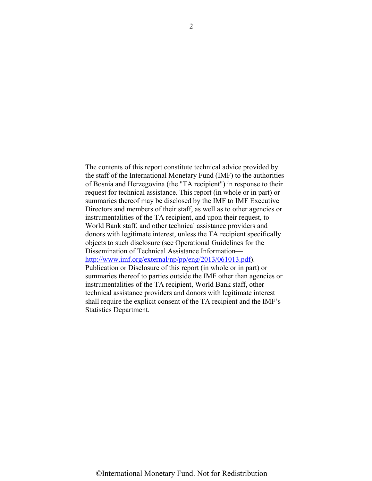The contents of this report constitute technical advice provided by the staff of the International Monetary Fund (IMF) to the authorities of Bosnia and Herzegovina (the "TA recipient") in response to their request for technical assistance. This report (in whole or in part) or summaries thereof may be disclosed by the IMF to IMF Executive Directors and members of their staff, as well as to other agencies or instrumentalities of the TA recipient, and upon their request, to World Bank staff, and other technical assistance providers and donors with legitimate interest, unless the TA recipient specifically objects to such disclosure (see Operational Guidelines for the Dissemination of Technical Assistance Information [http://www.imf.org/external/np/pp/eng/2013/061013.pdf\)](http://www.imf.org/external/np/pp/eng/2013/061013.pdf). Publication or Disclosure of this report (in whole or in part) or summaries thereof to parties outside the IMF other than agencies or instrumentalities of the TA recipient, World Bank staff, other technical assistance providers and donors with legitimate interest shall require the explicit consent of the TA recipient and the IMF's Statistics Department.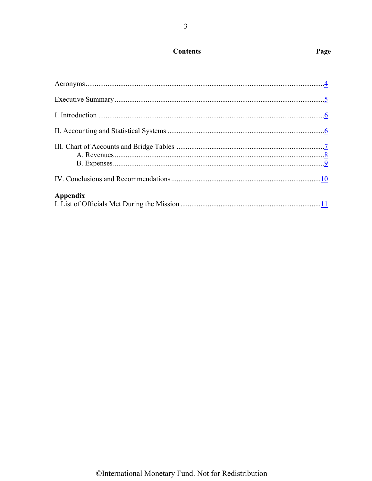# **Contents**

<span id="page-4-0"></span>

| <b>Appendix</b> |  |
|-----------------|--|

# ©International Monetary Fund. Not for Redistribution

# Page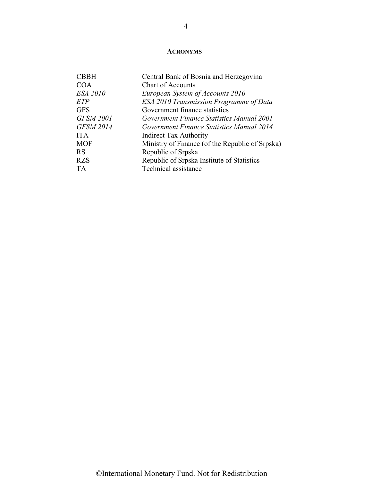## **[ACRONYMS](#page-4-0)**

<span id="page-5-0"></span>

| <b>CBBH</b>      | Central Bank of Bosnia and Herzegovina          |
|------------------|-------------------------------------------------|
| <b>COA</b>       | <b>Chart of Accounts</b>                        |
| <b>ESA 2010</b>  | European System of Accounts 2010                |
| ETP              | ESA 2010 Transmission Programme of Data         |
| <b>GFS</b>       | Government finance statistics                   |
| <b>GFSM 2001</b> | Government Finance Statistics Manual 2001       |
| <b>GFSM 2014</b> | Government Finance Statistics Manual 2014       |
| <b>ITA</b>       | <b>Indirect Tax Authority</b>                   |
| <b>MOF</b>       | Ministry of Finance (of the Republic of Srpska) |
| <b>RS</b>        | Republic of Srpska                              |
| <b>RZS</b>       | Republic of Srpska Institute of Statistics      |
| <b>TA</b>        | Technical assistance                            |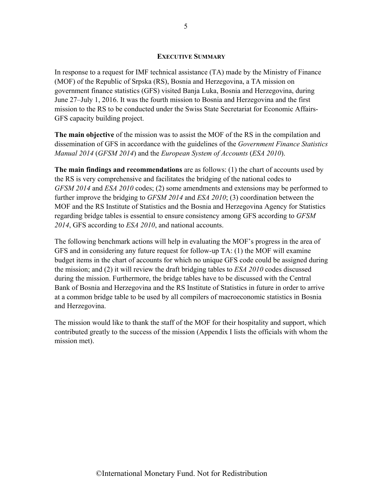#### **[EXECUTIVE SUMMARY](#page-4-0)**

<span id="page-6-0"></span>In response to a request for IMF technical assistance (TA) made by the Ministry of Finance (MOF) of the Republic of Srpska (RS), Bosnia and Herzegovina, a TA mission on government finance statistics (GFS) visited Banja Luka, Bosnia and Herzegovina, during June 27–July 1, 2016. It was the fourth mission to Bosnia and Herzegovina and the first mission to the RS to be conducted under the Swiss State Secretariat for Economic Affairs-GFS capacity building project.

**The main objective** of the mission was to assist the MOF of the RS in the compilation and dissemination of GFS in accordance with the guidelines of the *Government Finance Statistics Manual 2014* (*GFSM 2014*) and the *European System of Accounts* (*ESA 2010*).

**The main findings and recommendations** are as follows: (1) the chart of accounts used by the RS is very comprehensive and facilitates the bridging of the national codes to *GFSM 2014* and *ESA 2010* codes; (2) some amendments and extensions may be performed to further improve the bridging to *GFSM 2014* and *ESA 2010*; (3) coordination between the MOF and the RS Institute of Statistics and the Bosnia and Herzegovina Agency for Statistics regarding bridge tables is essential to ensure consistency among GFS according to *GFSM 2014*, GFS according to *ESA 2010*, and national accounts.

The following benchmark actions will help in evaluating the MOF's progress in the area of GFS and in considering any future request for follow-up TA: (1) the MOF will examine budget items in the chart of accounts for which no unique GFS code could be assigned during the mission; and (2) it will review the draft bridging tables to *ESA 2010* codes discussed during the mission. Furthermore, the bridge tables have to be discussed with the Central Bank of Bosnia and Herzegovina and the RS Institute of Statistics in future in order to arrive at a common bridge table to be used by all compilers of macroeconomic statistics in Bosnia and Herzegovina.

The mission would like to thank the staff of the MOF for their hospitality and support, which contributed greatly to the success of the mission (Appendix I lists the officials with whom the mission met).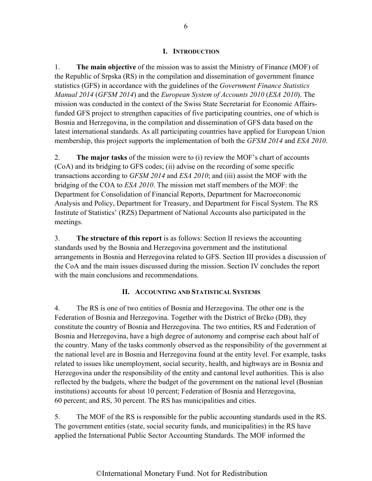#### **[I. INTRODUCTION](#page-4-0)**

<span id="page-7-0"></span>1. **The main objective** of the mission was to assist the Ministry of Finance (MOF) of the Republic of Srpska (RS) in the compilation and dissemination of government finance statistics (GFS) in accordance with the guidelines of the *Government Finance Statistics Manual 2014* (*GFSM 2014*) and the *European System of Accounts 2010* (*ESA 2010*). The mission was conducted in the context of the Swiss State Secretariat for Economic Affairsfunded GFS project to strengthen capacities of five participating countries, one of which is Bosnia and Herzegovina, in the compilation and dissemination of GFS data based on the latest international standards. As all participating countries have applied for European Union membership, this project supports the implementation of both the *GFSM 2014* and *ESA 2010*.

2. **The major tasks** of the mission were to (i) review the MOF's chart of accounts (CoA) and its bridging to GFS codes; (ii) advise on the recording of some specific transactions according to *GFSM 2014* and *ESA 2010*; and (iii) assist the MOF with the bridging of the COA to *ESA 2010*. The mission met staff members of the MOF: the Department for Consolidation of Financial Reports, Department for Macroeconomic Analysis and Policy, Department for Treasury, and Department for Fiscal System. The RS Institute of Statistics' (RZS) Department of National Accounts also participated in the meetings.

3. **The structure of this report** is as follows: Section II reviews the accounting standards used by the Bosnia and Herzegovina government and the institutional arrangements in Bosnia and Herzegovina related to GFS. Section III provides a discussion of the CoA and the main issues discussed during the mission. Section IV concludes the report with the main conclusions and recommendations.

#### **[II. ACCOUNTING AND STATISTICAL SYSTEMS](#page-4-0)**

4. The RS is one of two entities of Bosnia and Herzegovina. The other one is the Federation of Bosnia and Herzegovina. Together with the District of Brčko (DB), they constitute the country of Bosnia and Herzegovina. The two entities, RS and Federation of Bosnia and Herzegovina, have a high degree of autonomy and comprise each about half of the country. Many of the tasks commonly observed as the responsibility of the government at the national level are in Bosnia and Herzegovina found at the entity level. For example, tasks related to issues like unemployment, social security, health, and highways are in Bosnia and Herzegovina under the responsibility of the entity and cantonal level authorities. This is also reflected by the budgets, where the budget of the government on the national level (Bosnian institutions) accounts for about 10 percent; Federation of Bosnia and Herzegovina, 60 percent; and RS, 30 percent. The RS has municipalities and cities.

5. The MOF of the RS is responsible for the public accounting standards used in the RS. The government entities (state, social security funds, and municipalities) in the RS have applied the International Public Sector Accounting Standards. The MOF informed the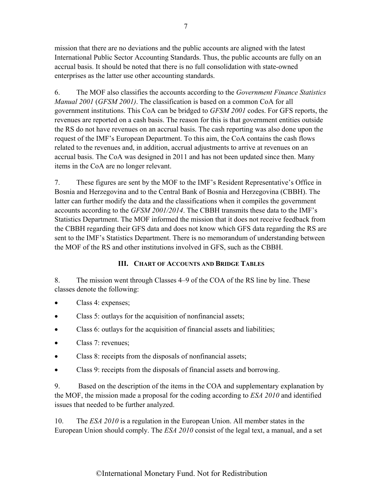mission that there are no deviations and the public accounts are aligned with the latest International Public Sector Accounting Standards. Thus, the public accounts are fully on an accrual basis. It should be noted that there is no full consolidation with state-owned enterprises as the latter use other accounting standards.

6. The MOF also classifies the accounts according to the *Government Finance Statistics Manual 2001* (*GFSM 2001)*. The classification is based on a common CoA for all government institutions. This CoA can be bridged to *GFSM 2001* codes. For GFS reports, the revenues are reported on a cash basis. The reason for this is that government entities outside the RS do not have revenues on an accrual basis. The cash reporting was also done upon the request of the IMF's European Department. To this aim, the CoA contains the cash flows related to the revenues and, in addition, accrual adjustments to arrive at revenues on an accrual basis. The CoA was designed in 2011 and has not been updated since then. Many items in the CoA are no longer relevant.

7. These figures are sent by the MOF to the IMF's Resident Representative's Office in Bosnia and Herzegovina and to the Central Bank of Bosnia and Herzegovina (CBBH). The latter can further modify the data and the classifications when it compiles the government accounts according to the *GFSM 2001/2014*. The CBBH transmits these data to the IMF's Statistics Department. The MOF informed the mission that it does not receive feedback from the CBBH regarding their GFS data and does not know which GFS data regarding the RS are sent to the IMF's Statistics Department. There is no memorandum of understanding between the MOF of the RS and other institutions involved in GFS, such as the CBBH.

## **[III. CHART OF ACCOUNTS AND BRIDGE TABLES](#page-4-0)**

8. The mission went through Classes 4–9 of the COA of the RS line by line. These classes denote the following:

- Class 4: expenses;
- Class 5: outlays for the acquisition of nonfinancial assets;
- Class 6: outlays for the acquisition of financial assets and liabilities;
- Class 7: revenues;
- Class 8: receipts from the disposals of nonfinancial assets;
- Class 9: receipts from the disposals of financial assets and borrowing.

9. Based on the description of the items in the COA and supplementary explanation by the MOF, the mission made a proposal for the coding according to *ESA 2010* and identified issues that needed to be further analyzed.

10. The *ESA 2010* is a regulation in the European Union. All member states in the European Union should comply. The *ESA 2010* consist of the legal text, a manual, and a set

#### <span id="page-8-0"></span>7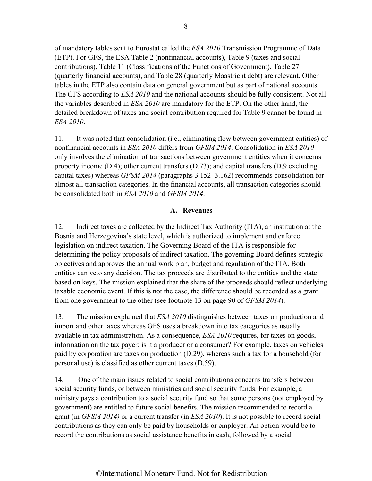<span id="page-9-0"></span>of mandatory tables sent to Eurostat called the *ESA 2010* Transmission Programme of Data (ETP). For GFS, the ESA Table 2 (nonfinancial accounts), Table 9 (taxes and social contributions), Table 11 (Classifications of the Functions of Government), Table 27 (quarterly financial accounts), and Table 28 (quarterly Maastricht debt) are relevant. Other tables in the ETP also contain data on general government but as part of national accounts. The GFS according to *ESA 2010* and the national accounts should be fully consistent. Not all the variables described in *ESA 2010* are mandatory for the ETP. On the other hand, the detailed breakdown of taxes and social contribution required for Table 9 cannot be found in *ESA 2010*.

11. It was noted that consolidation (i.e., eliminating flow between government entities) of nonfinancial accounts in *ESA 2010* differs from *GFSM 2014*. Consolidation in *ESA 2010* only involves the elimination of transactions between government entities when it concerns property income  $(D.4)$ ; other current transfers  $(D.73)$ ; and capital transfers  $(D.9)$  excluding capital taxes) whereas *GFSM 2014* (paragraphs 3.152–3.162) recommends consolidation for almost all transaction categories. In the financial accounts, all transaction categories should be consolidated both in *ESA 2010* and *GFSM 2014*.

#### **[A. Revenues](#page-4-0)**

12. Indirect taxes are collected by the Indirect Tax Authority (ITA), an institution at the Bosnia and Herzegovina's state level, which is authorized to implement and enforce legislation on indirect taxation. The Governing Board of the ITA is responsible for determining the policy proposals of indirect taxation. The governing Board defines strategic objectives and approves the annual work plan, budget and regulation of the ITA. Both entities can veto any decision. The tax proceeds are distributed to the entities and the state based on keys. The mission explained that the share of the proceeds should reflect underlying taxable economic event. If this is not the case, the difference should be recorded as a grant from one government to the other (see footnote 13 on page 90 of *GFSM 2014*).

13. The mission explained that *ESA 2010* distinguishes between taxes on production and import and other taxes whereas GFS uses a breakdown into tax categories as usually available in tax administration. As a consequence, *ESA 2010* requires, for taxes on goods, information on the tax payer: is it a producer or a consumer? For example, taxes on vehicles paid by corporation are taxes on production (D.29), whereas such a tax for a household (for personal use) is classified as other current taxes (D.59).

14. One of the main issues related to social contributions concerns transfers between social security funds, or between ministries and social security funds. For example, a ministry pays a contribution to a social security fund so that some persons (not employed by government) are entitled to future social benefits. The mission recommended to record a grant (in *GFSM 2014)* or a current transfer (in *ESA 2010*). It is not possible to record social contributions as they can only be paid by households or employer. An option would be to record the contributions as social assistance benefits in cash, followed by a social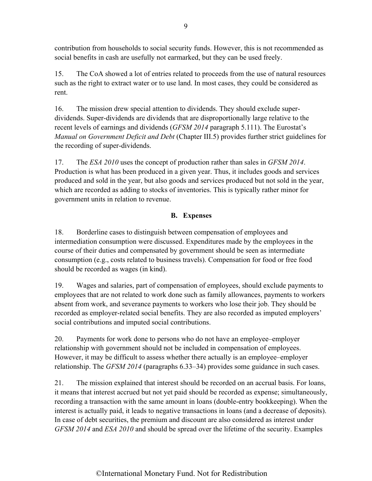<span id="page-10-0"></span>contribution from households to social security funds. However, this is not recommended as social benefits in cash are usefully not earmarked, but they can be used freely.

15. The CoA showed a lot of entries related to proceeds from the use of natural resources such as the right to extract water or to use land. In most cases, they could be considered as rent.

16. The mission drew special attention to dividends. They should exclude superdividends. Super-dividends are dividends that are disproportionally large relative to the recent levels of earnings and dividends (*GFSM 2014* paragraph 5.111). The Eurostat's *Manual on Government Deficit and Debt* (Chapter III.5) provides further strict guidelines for the recording of super-dividends.

17. The *ESA 2010* uses the concept of production rather than sales in *GFSM 2014*. Production is what has been produced in a given year. Thus, it includes goods and services produced and sold in the year, but also goods and services produced but not sold in the year, which are recorded as adding to stocks of inventories. This is typically rather minor for government units in relation to revenue.

# **[B. Expenses](#page-4-0)**

18. Borderline cases to distinguish between compensation of employees and intermediation consumption were discussed. Expenditures made by the employees in the course of their duties and compensated by government should be seen as intermediate consumption (e.g., costs related to business travels). Compensation for food or free food should be recorded as wages (in kind).

19. Wages and salaries, part of compensation of employees, should exclude payments to employees that are not related to work done such as family allowances, payments to workers absent from work, and severance payments to workers who lose their job. They should be recorded as employer-related social benefits. They are also recorded as imputed employers' social contributions and imputed social contributions.

20. Payments for work done to persons who do not have an employee–employer relationship with government should not be included in compensation of employees. However, it may be difficult to assess whether there actually is an employee–employer relationship. The *GFSM 2014* (paragraphs 6.33–34) provides some guidance in such cases.

21. The mission explained that interest should be recorded on an accrual basis. For loans, it means that interest accrued but not yet paid should be recorded as expense; simultaneously, recording a transaction with the same amount in loans (double-entry bookkeeping). When the interest is actually paid, it leads to negative transactions in loans (and a decrease of deposits). In case of debt securities, the premium and discount are also considered as interest under *GFSM 2014* and *ESA 2010* and should be spread over the lifetime of the security. Examples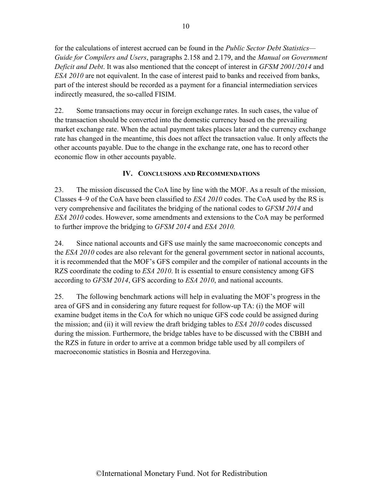<span id="page-11-0"></span>for the calculations of interest accrued can be found in the *Public Sector Debt Statistics— Guide for Compilers and Users*, paragraphs 2.158 and 2.179, and the *Manual on Government Deficit and Debt*. It was also mentioned that the concept of interest in *GFSM 2001/2014* and *ESA 2010* are not equivalent. In the case of interest paid to banks and received from banks, part of the interest should be recorded as a payment for a financial intermediation services indirectly measured, the so-called FISIM.

22. Some transactions may occur in foreign exchange rates. In such cases, the value of the transaction should be converted into the domestic currency based on the prevailing market exchange rate. When the actual payment takes places later and the currency exchange rate has changed in the meantime, this does not affect the transaction value. It only affects the other accounts payable. Due to the change in the exchange rate, one has to record other economic flow in other accounts payable.

#### **[IV. CONCLUSIONS AND RECOMMENDATIONS](#page-4-0)**

23. The mission discussed the CoA line by line with the MOF. As a result of the mission, Classes 4–9 of the CoA have been classified to *ESA 2010* codes. The CoA used by the RS is very comprehensive and facilitates the bridging of the national codes to *GFSM 2014* and *ESA 2010* codes. However, some amendments and extensions to the CoA may be performed to further improve the bridging to *GFSM 2014* and *ESA 2010.*

24. Since national accounts and GFS use mainly the same macroeconomic concepts and the *ESA 2010* codes are also relevant for the general government sector in national accounts, it is recommended that the MOF's GFS compiler and the compiler of national accounts in the RZS coordinate the coding to *ESA 2010*. It is essential to ensure consistency among GFS according to *GFSM 2014*, GFS according to *ESA 2010*, and national accounts.

25. The following benchmark actions will help in evaluating the MOF's progress in the area of GFS and in considering any future request for follow-up TA: (i) the MOF will examine budget items in the CoA for which no unique GFS code could be assigned during the mission; and (ii) it will review the draft bridging tables to *ESA 2010* codes discussed during the mission. Furthermore, the bridge tables have to be discussed with the CBBH and the RZS in future in order to arrive at a common bridge table used by all compilers of macroeconomic statistics in Bosnia and Herzegovina.